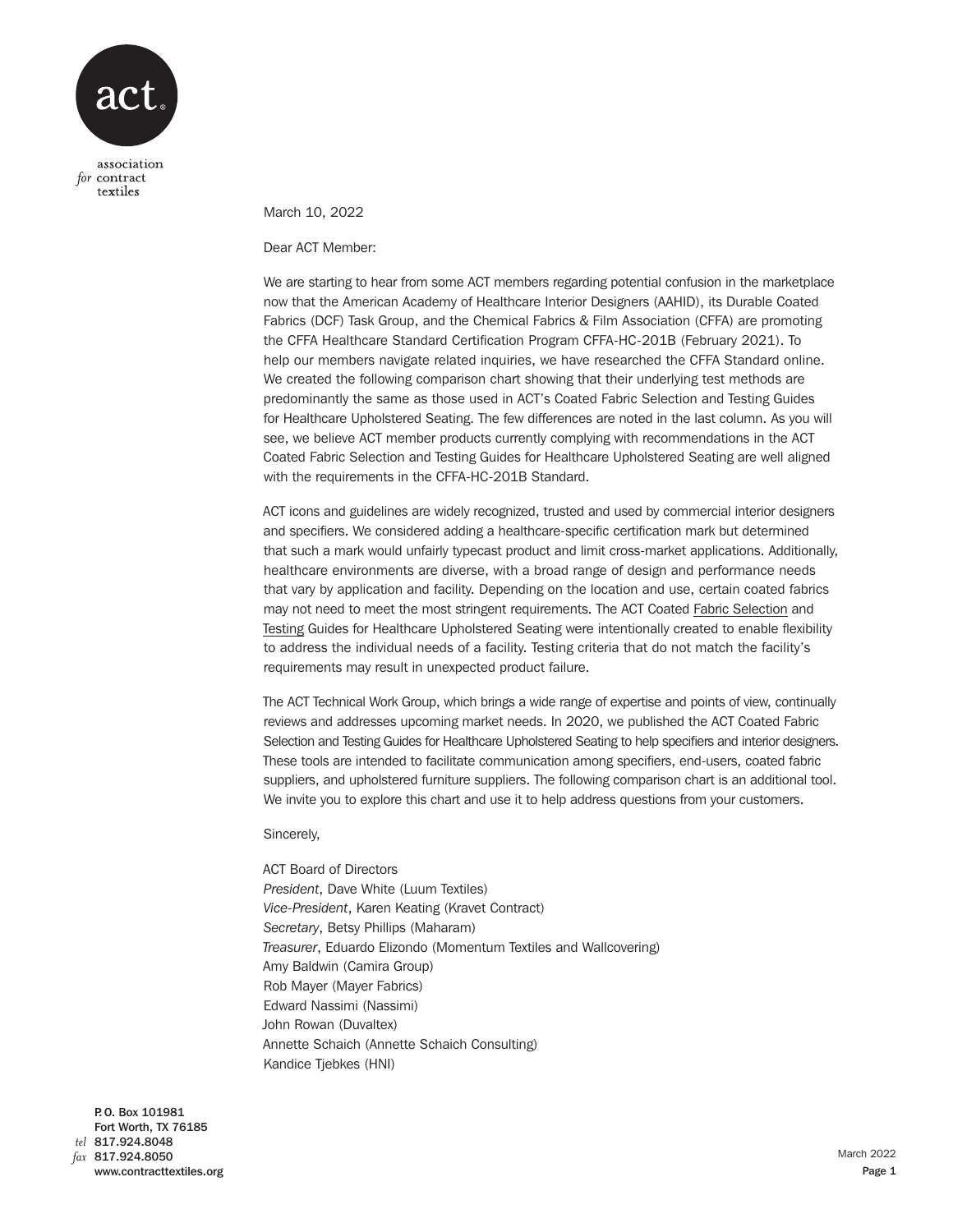

textiles

March 10, 2022

Dear ACT Member:

We are starting to hear from some ACT members regarding potential confusion in the marketplace now that the American Academy of Healthcare Interior Designers (AAHID), its Durable Coated Fabrics (DCF) Task Group, and the Chemical Fabrics & Film Association (CFFA) are promoting the CFFA Healthcare Standard Certification Program CFFA-HC-201B (February 2021). To help our members navigate related inquiries, we have researched the CFFA Standard online. We created the following comparison chart showing that their underlying test methods are predominantly the same as those used in ACT's Coated Fabric Selection and Testing Guides for Healthcare Upholstered Seating. The few differences are noted in the last column. As you will see, we believe ACT member products currently complying with recommendations in the ACT Coated Fabric Selection and Testing Guides for Healthcare Upholstered Seating are well aligned with the requirements in the CFFA-HC-201B Standard.

ACT icons and guidelines are widely recognized, trusted and used by commercial interior designers and specifiers. We considered adding a healthcare-specific certification mark but determined that such a mark would unfairly typecast product and limit cross-market applications. Additionally, healthcare environments are diverse, with a broad range of design and performance needs that vary by application and facility. Depending on the location and use, certain coated fabrics may not need to meet the most stringent requirements. The ACT Coate[d Fabric Selection](https://contracttextiles.org/wp-content/uploads/2020/08/act_coated_fabric_selection_guide_052720-FINAL.pdf) and [Testing](https://contracttextiles.org/wp-content/uploads/2021/04/act_coated_fabric_testing_guide_040721.pdf) Guides for Healthcare Upholstered Seating were intentionally created to enable flexibility to address the individual needs of a facility. Testing criteria that do not match the facility's requirements may result in unexpected product failure.

The ACT Technical Work Group, which brings a wide range of expertise and points of view, continually reviews and addresses upcoming market needs. In 2020, we published the ACT Coated Fabric Selection and Testing Guides for Healthcare Upholstered Seating to help specifiers and interior designers. These tools are intended to facilitate communication among specifiers, end-users, coated fabric suppliers, and upholstered furniture suppliers. The following comparison chart is an additional tool. We invite you to explore this chart and use it to help address questions from your customers.

Sincerely,

ACT Board of Directors *President*, Dave White (Luum Textiles) *Vice-President*, Karen Keating (Kravet Contract) *Secretary*, Betsy Phillips (Maharam) *Treasurer*, Eduardo Elizondo (Momentum Textiles and Wallcovering) Amy Baldwin (Camira Group) Rob Mayer (Mayer Fabrics) Edward Nassimi (Nassimi) John Rowan (Duvaltex) Annette Schaich (Annette Schaich Consulting) Kandice Tjebkes (HNI)

P. O. Box 101981 Fort Worth, TX 76185 817.924.8048 *tel* 817.924.8050 *fax*www.contracttextiles.org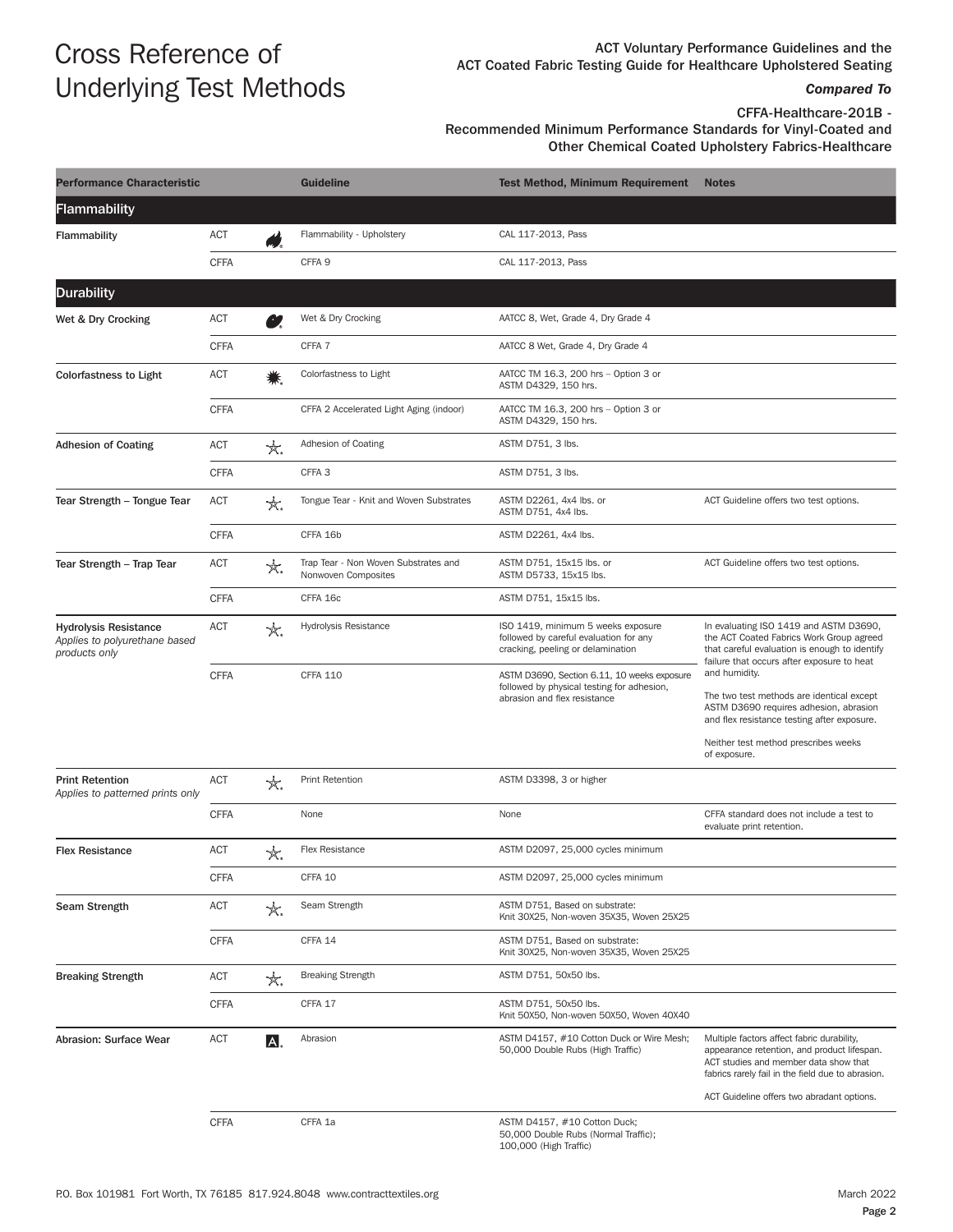# Cross Reference of Underlying Test Methods

ACT Voluntary Performance Guidelines and the ACT Coated Fabric Testing Guide for Healthcare Upholstered Seating

## *Compared To*

CFFA-Healthcare-201B -

## Recommended Minimum Performance Standards for Vinyl-Coated and Other Chemical Coated Upholstery Fabrics-Healthcare

| <b>Performance Characteristic</b>                                              |             | <b>Guideline</b> | <b>Test Method, Minimum Requirement</b>                     | <b>Notes</b>                                                                                                              |                                                                                                                                                                                                                                       |
|--------------------------------------------------------------------------------|-------------|------------------|-------------------------------------------------------------|---------------------------------------------------------------------------------------------------------------------------|---------------------------------------------------------------------------------------------------------------------------------------------------------------------------------------------------------------------------------------|
| Flammability                                                                   |             |                  |                                                             |                                                                                                                           |                                                                                                                                                                                                                                       |
| <b>Flammability</b>                                                            | ACT         |                  | Flammability - Upholstery                                   | CAL 117-2013, Pass                                                                                                        |                                                                                                                                                                                                                                       |
|                                                                                | <b>CFFA</b> |                  | CFFA <sub>9</sub>                                           | CAL 117-2013, Pass                                                                                                        |                                                                                                                                                                                                                                       |
| <b>Durability</b>                                                              |             |                  |                                                             |                                                                                                                           |                                                                                                                                                                                                                                       |
| Wet & Dry Crocking                                                             | ACT         |                  | Wet & Dry Crocking                                          | AATCC 8, Wet, Grade 4, Dry Grade 4                                                                                        |                                                                                                                                                                                                                                       |
|                                                                                | <b>CFFA</b> |                  | CFFA 7                                                      | AATCC 8 Wet, Grade 4, Dry Grade 4                                                                                         |                                                                                                                                                                                                                                       |
| <b>Colorfastness to Light</b>                                                  | ACT         |                  | Colorfastness to Light                                      | AATCC TM 16.3, 200 hrs - Option 3 or<br>ASTM D4329, 150 hrs.                                                              |                                                                                                                                                                                                                                       |
|                                                                                | <b>CFFA</b> |                  | CFFA 2 Accelerated Light Aging (indoor)                     | AATCC TM 16.3, 200 hrs - Option 3 or<br>ASTM D4329, 150 hrs.                                                              |                                                                                                                                                                                                                                       |
| <b>Adhesion of Coating</b>                                                     | ACT         | ★.               | Adhesion of Coating                                         | ASTM D751, 3 lbs.                                                                                                         |                                                                                                                                                                                                                                       |
|                                                                                | <b>CFFA</b> |                  | CFFA <sub>3</sub>                                           | ASTM D751, 3 lbs.                                                                                                         |                                                                                                                                                                                                                                       |
| Tear Strength - Tongue Tear                                                    | ACT         | X.               | Tongue Tear - Knit and Woven Substrates                     | ASTM D2261, 4x4 lbs. or<br>ASTM D751, 4x4 lbs.                                                                            | ACT Guideline offers two test options.                                                                                                                                                                                                |
|                                                                                | <b>CFFA</b> |                  | CFFA 16b                                                    | ASTM D2261, 4x4 lbs.                                                                                                      |                                                                                                                                                                                                                                       |
| Tear Strength - Trap Tear                                                      | ACT         | X.               | Trap Tear - Non Woven Substrates and<br>Nonwoven Composites | ASTM D751, 15x15 lbs. or<br>ASTM D5733, 15x15 lbs.                                                                        | ACT Guideline offers two test options.                                                                                                                                                                                                |
|                                                                                | <b>CFFA</b> |                  | CFFA 16c                                                    | ASTM D751, 15x15 lbs.                                                                                                     |                                                                                                                                                                                                                                       |
| <b>Hydrolysis Resistance</b><br>Applies to polyurethane based<br>products only | ACT         | ☆.               | Hydrolysis Resistance                                       | ISO 1419, minimum 5 weeks exposure<br>followed by careful evaluation for any<br>cracking, peeling or delamination         | In evaluating ISO 1419 and ASTM D3690,<br>the ACT Coated Fabrics Work Group agreed<br>that careful evaluation is enough to identify<br>failure that occurs after exposure to heat                                                     |
|                                                                                | <b>CFFA</b> |                  | <b>CFFA 110</b>                                             | ASTM D3690, Section 6.11, 10 weeks exposure<br>followed by physical testing for adhesion,<br>abrasion and flex resistance | and humidity.<br>The two test methods are identical except<br>ASTM D3690 requires adhesion, abrasion<br>and flex resistance testing after exposure.<br>Neither test method prescribes weeks<br>of exposure.                           |
| <b>Print Retention</b><br>Applies to patterned prints only                     | <b>ACT</b>  | ★.               | Print Retention                                             | ASTM D3398, 3 or higher                                                                                                   |                                                                                                                                                                                                                                       |
|                                                                                |             |                  |                                                             |                                                                                                                           |                                                                                                                                                                                                                                       |
|                                                                                | <b>CFFA</b> |                  | None                                                        | None                                                                                                                      | CFFA standard does not include a test to<br>evaluate print retention.                                                                                                                                                                 |
| <b>Flex Resistance</b>                                                         | <b>ACT</b>  | ×.               | Flex Resistance                                             | ASTM D2097, 25,000 cycles minimum                                                                                         |                                                                                                                                                                                                                                       |
|                                                                                | <b>CFFA</b> |                  | CFFA 10                                                     | ASTM D2097, 25,000 cycles minimum                                                                                         |                                                                                                                                                                                                                                       |
| Seam Strength                                                                  | ACT         | ★.               | Seam Strength                                               | ASTM D751, Based on substrate:<br>Knit 30X25, Non-woven 35X35, Woven 25X25                                                |                                                                                                                                                                                                                                       |
|                                                                                | <b>CFFA</b> |                  | CFFA 14                                                     | ASTM D751, Based on substrate:<br>Knit 30X25, Non-woven 35X35, Woven 25X25                                                |                                                                                                                                                                                                                                       |
| <b>Breaking Strength</b>                                                       | ACT         | ☆.               | <b>Breaking Strength</b>                                    | ASTM D751, 50x50 lbs.                                                                                                     |                                                                                                                                                                                                                                       |
|                                                                                | <b>CFFA</b> |                  | CFFA 17                                                     | ASTM D751, 50x50 lbs.<br>Knit 50X50, Non-woven 50X50, Woven 40X40                                                         |                                                                                                                                                                                                                                       |
| Abrasion: Surface Wear                                                         | ACT         | A,               | Abrasion                                                    | ASTM D4157, #10 Cotton Duck or Wire Mesh;<br>50,000 Double Rubs (High Traffic)                                            | Multiple factors affect fabric durability,<br>appearance retention, and product lifespan.<br>ACT studies and member data show that<br>fabrics rarely fail in the field due to abrasion.<br>ACT Guideline offers two abradant options. |
|                                                                                | <b>CFFA</b> |                  | CFFA 1a                                                     | ASTM D4157, #10 Cotton Duck;<br>50,000 Double Rubs (Normal Traffic);<br>100,000 (High Traffic)                            |                                                                                                                                                                                                                                       |